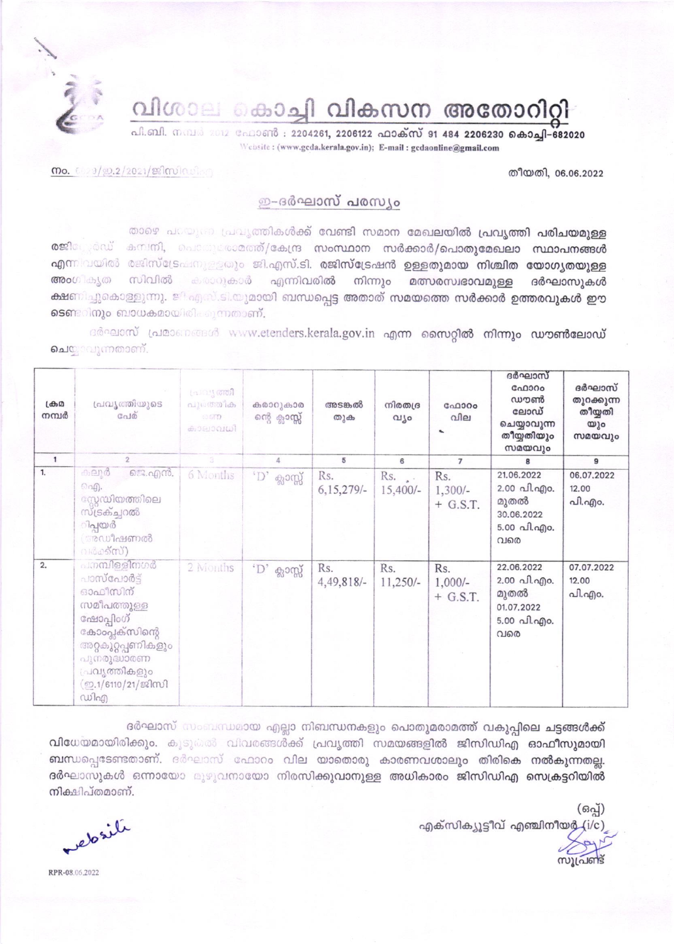വിശാല കൊച്ചി വികസന അതോറിറ്റി

Website: (www.gcda.kerala.gov.in); E-mail: gcdaonline@gmail.com

തീയതി, 06.06.2022

## $\omega$ . 003/90.2/2021/2021/01

## ഇ-ദർഘാസ് പരസ്യം

താഴെ പറയുണ്ട പ്രവൃത്തികൾക്ക് വേണ്ടി സമാന മേഖലയിൽ പ്രവൃത്തി പരിചയമുള്ള രജിക്കേർഡ് കമ്പനി, ചൈന്തേക്കാരത്/കേന്ദ്ര സംസ്ഥാന സർക്കാർ/പൊതുമേഖലാ സ്ഥാപനങ്ങൾ എന്നിവയിൽ രജിസ്ട്രേഷനുള്ളതും ജി.എസ്.ടി. രജിസ്ട്രേഷൻ ഉള്ളതുമായ നിശ്ചിത യോഗൃതയുള്ള അംഗികൃത സിവിൽ കരാറുകാർ എന്നിവരിൽ നിന്നും മത്സരസ്വഭാവമുള്ള ദർഘാസുകൾ ക്ഷണിച്ചുകൊള്ളുന്നു. ജി എസ്.ടി.യുമായി ബന്ധപ്പെട്ട അതാത് സമയത്തെ സർക്കാർ ഉത്തരവുകൾ ഈ ടെണ്ടറിനും ബാധകമായിരിക്കുന്നതാണ്.

ദർഘാസ് പ്രമാണങ്ങൾ www.etenders.kerala.gov.in എന്ന സൈറ്റിൽ നിന്നും ഡൗൺലോഡ് ചെയ്യവുന്നതാണ്.

| $L d \theta_2 \Omega$<br>നമ്പർ | പ്രവ്യത്തിയുടെ<br>G <sub>0</sub> 10                                                                                                                                  | പ്രവൃത്തി<br>പുര <b>ത്തിക</b><br><b>CU STTP</b><br>കാലാവധി | കരാറുകാര<br>ന്റെ ക്ലാസ്സ് | അടങ്കൽ<br>തുക       | നിരതദ്ര<br>വീ൦      | G <sub>0</sub> 000<br>വില<br>$\overline{\phantom{a}}$ | ദർഘാസ്<br>GAD300<br>ഡൗൺ<br>ലോഡ്<br>ചെയ്യാവുന്ന<br>തീയ്യതിയും<br>സമയവും                       | ദർഘാസ്<br>തുറക്കുന്ന<br>തീയ്യതി<br>യും<br>സമയവും |
|--------------------------------|----------------------------------------------------------------------------------------------------------------------------------------------------------------------|------------------------------------------------------------|---------------------------|---------------------|---------------------|-------------------------------------------------------|----------------------------------------------------------------------------------------------|--------------------------------------------------|
| 1                              | $\overline{2}$                                                                                                                                                       |                                                            | 4                         | 5                   | 6                   | $\overline{7}$                                        | 8                                                                                            | 9                                                |
| 1.                             | കലൂർ<br>ജെ.എൻ.<br>ெழி.<br>സ്റ്റേഡിയത്തിലെ<br>സ്ട്രക്ച്ചറൽ<br>ിപ്പയർ<br>(അഡീഷണൽ<br>വർക്ക്സ്)                                                                          | 6 Months                                                   | $^{\circ}$ D' ക്ലാസ്സ്    | Rs.<br>$6,15,279/-$ | $Rs.$ .<br>15,400/- | Rs.<br>$1,300/-$<br>$+$ G.S.T.                        | 21.06.2022<br>2.00 പി.എo.<br>മുതൽ<br>30.06.2022<br>$5.00 \text{ }\Omega$ . $\Omega$ .<br>വരെ | 06.07.2022<br>12.00<br>പി.എം.                    |
| 2.                             | പനമ്പിള്ളിനഗർ<br>പാസ്പോർട്<br>ഓഫീസിന്<br>സമീപത്തുള്ള<br>ഫോപ്പിംഗ്<br>കോംപ്ലക്സിന്റെ<br>അറുകൂറ്റപ്പണികളും<br>പുനരുദ്ധാരണ<br>്രചവൃത്തികളും<br>(ഇ.1/6110/21/ജിസി<br>ഡിഎ | 2 Months                                                   | $\cdot$ ് $D$ ' ക്ലാസ്സ്  | Rs.<br>4,49,818/-   | Rs.<br>$11,250/-$   | Rs.<br>$1,000/-$<br>$+$ G.S.T.                        | 22.06.2022<br>2.00 പി.എo.<br>മുതൽ<br>01.07.2022<br>5.00 வி.എo.<br>വരെ                        | 07.07.2022<br>12.00<br>പി.എo.                    |

ദർഘാസ് സംബന്ധമായ എല്ലാ നിബന്ധനകളും പൊതുമരാമത്ത് വകുപ്പിലെ ചട്ടങ്ങൾക്ക് വിധേയമായിരിക്കും. കൂടുകൽ വിവരങ്ങൾക്ക് പ്രവൃത്തി സമയങ്ങളിൽ ജിസിഡിഎ ഓഫീസുമായി ബന്ധപ്പെടേണ്ടതാണ്. ദർഘാസ് ഫോറം വില യാതൊരു കാരണവശാലും തിരികെ നൽകുന്നതല്ല. ദർഘാസുകൾ ഒന്നായോ മുഴുവനായോ നിരസിക്കു**വാനുള്ള അധികാരം ജിസിഡിഎ സെക്രട്ടറിയിൽ** നിക്ഷിപ്തമാണ്.

(ഒപ്പ്) എക്സിക്യൂട്ടീവ് എഞ്ചിനീയർ

elasili

RPR-08.06.2022